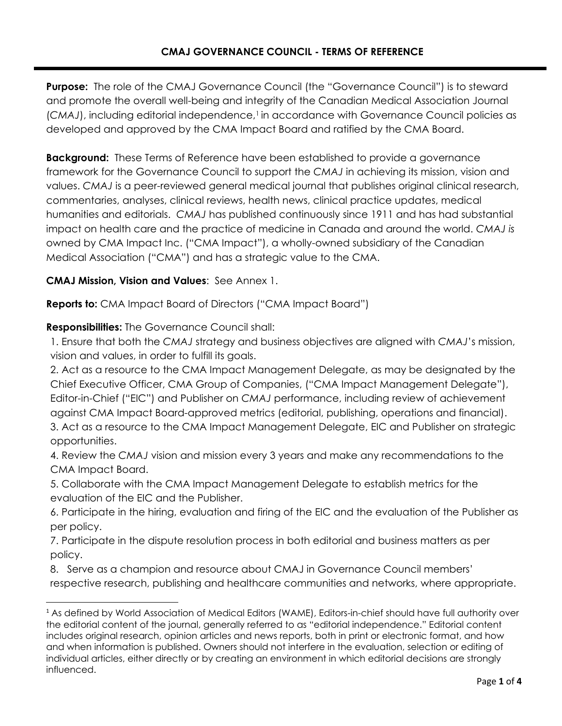Purpose: The role of the CMAJ Governance Council (the "Governance Council") is to steward and promote the overall well-being and integrity of the Canadian Medical Association Journal (CMAJ), including editorial independence,<sup>1</sup> in accordance with Governance Council policies as developed and approved by the CMA Impact Board and ratified by the CMA Board.

**Background:** These Terms of Reference have been established to provide a governance framework for the Governance Council to support the *CMAJ* in achieving its mission, vision and values. *CMAJ* is a peer-reviewed general medical journal that publishes original clinical research, commentaries, analyses, clinical reviews, health news, clinical practice updates, medical humanities and editorials. *CMAJ* has published continuously since 1911 and has had substantial impact on health care and the practice of medicine in Canada and around the world. *CMAJ is* owned by CMA Impact Inc. ("CMA Impact"), a wholly-owned subsidiary of the Canadian Medical Association ("CMA") and has a strategic value to the CMA.

**CMAJ Mission, Vision and Values**: See Annex 1.

**Reports to:** CMA Impact Board of Directors ("CMA Impact Board")

# **Responsibilities:** The Governance Council shall:

1. Ensure that both the *CMAJ* strategy and business objectives are aligned with *CMAJ*'s mission, vision and values, in order to fulfill its goals.

2. Act as a resource to the CMA Impact Management Delegate, as may be designated by the Chief Executive Officer, CMA Group of Companies, ("CMA Impact Management Delegate"), Editor-in-Chief ("EIC") and Publisher on *CMAJ* performance, including review of achievement against CMA Impact Board-approved metrics (editorial, publishing, operations and financial).

3. Act as a resource to the CMA Impact Management Delegate, EIC and Publisher on strategic opportunities.

4. Review the *CMAJ* vision and mission every 3 years and make any recommendations to the CMA Impact Board.

5. Collaborate with the CMA Impact Management Delegate to establish metrics for the evaluation of the EIC and the Publisher.

6. Participate in the hiring, evaluation and firing of the EIC and the evaluation of the Publisher as per policy.

7. Participate in the dispute resolution process in both editorial and business matters as per policy.

8. Serve as a champion and resource about CMAJ in Governance Council members' respective research, publishing and healthcare communities and networks, where appropriate.

<sup>1</sup> As defined by World Association of Medical Editors (WAME), Editors-in-chief should have full authority over the editorial content of the journal, generally referred to as "editorial independence." Editorial content includes original research, opinion articles and news reports, both in print or electronic format, and how and when information is published. Owners should not interfere in the evaluation, selection or editing of individual articles, either directly or by creating an environment in which editorial decisions are strongly influenced.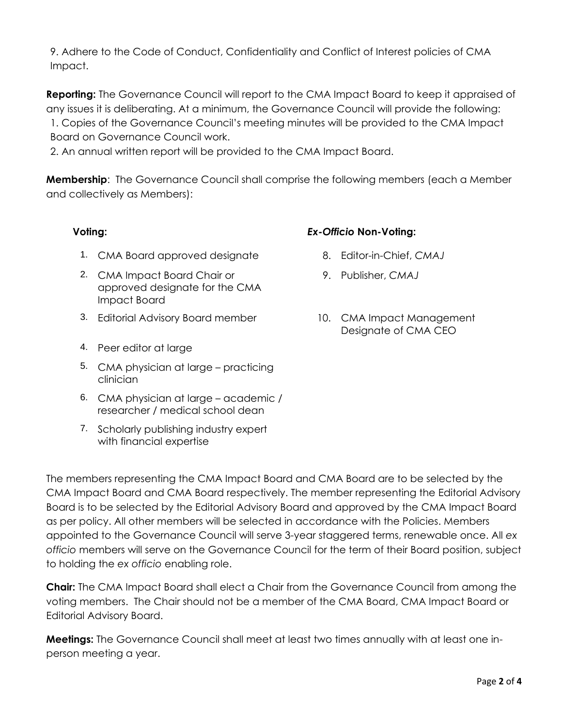9. Adhere to the Code of Conduct, Confidentiality and Conflict of Interest policies of CMA Impact.

**Reporting:** The Governance Council will report to the CMA Impact Board to keep it appraised of any issues it is deliberating. At a minimum, the Governance Council will provide the following: 1. Copies of the Governance Council's meeting minutes will be provided to the CMA Impact Board on Governance Council work.

2. An annual written report will be provided to the CMA Impact Board.

**Membership**: The Governance Council shall comprise the following members (each a Member and collectively as Members):

- 1. CMA Board approved designate 8. Editor-in-Chief, *CMAJ*
- 2. CMA Impact Board Chair or approved designate for the CMA Impact Board
- 3. Editorial Advisory Board member 10. CMA Impact Management
- 4. Peer editor at large
- 5. CMA physician at large practicing clinician
- 6. CMA physician at large academic / researcher / medical school dean
- 7. Scholarly publishing industry expert with financial expertise

# **Voting:** *Ex-Officio* **Non-Voting:**

- 
- 9. Publisher, *CMAJ*
- Designate of CMA CEO

The members representing the CMA Impact Board and CMA Board are to be selected by the CMA Impact Board and CMA Board respectively. The member representing the Editorial Advisory Board is to be selected by the Editorial Advisory Board and approved by the CMA Impact Board as per policy. All other members will be selected in accordance with the Policies. Members appointed to the Governance Council will serve 3-year staggered terms, renewable once. All *ex officio* members will serve on the Governance Council for the term of their Board position, subject to holding the *ex officio* enabling role.

**Chair:** The CMA Impact Board shall elect a Chair from the Governance Council from among the voting members. The Chair should not be a member of the CMA Board, CMA Impact Board or Editorial Advisory Board.

**Meetings:** The Governance Council shall meet at least two times annually with at least one inperson meeting a year.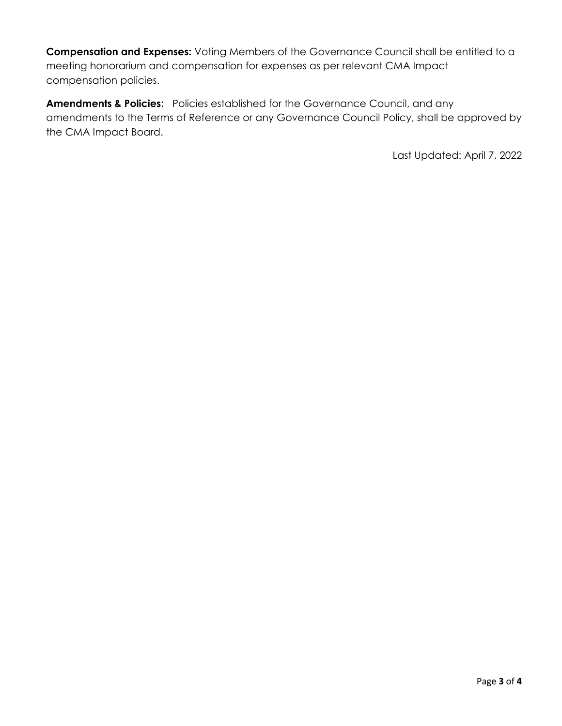**Compensation and Expenses:** Voting Members of the Governance Council shall be entitled to a meeting honorarium and compensation for expenses as per relevant CMA Impact compensation policies.

**Amendments & Policies:** Policies established for the Governance Council, and any amendments to the Terms of Reference or any Governance Council Policy, shall be approved by the CMA Impact Board.

Last Updated: April 7, 2022